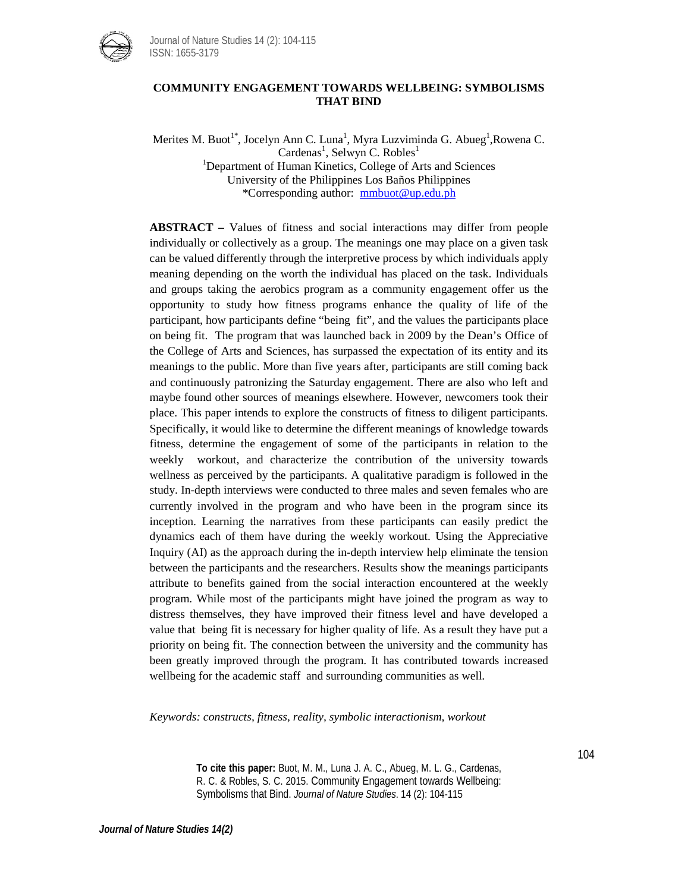

Journal of Nature Studies 14 (2): 104-115 ISSN: 1655-3179

# **COMMUNITY ENGAGEMENT TOWARDS WELLBEING: SYMBOLISMS THAT BIND**

Merites M. Buot<sup>1\*</sup>, Jocelyn Ann C. Luna<sup>1</sup>, Myra Luzviminda G. Abueg<sup>1</sup>,Rowena C. Cardenas<sup>1</sup>, Selwyn C. Robles<sup>1</sup> <sup>1</sup>Department of Human Kinetics, College of Arts and Sciences University of the Philippines Los Baños Philippines \*Corresponding author: [mmbuot@up.edu.ph](mailto:mmbuot@up.edu.ph)

**ABSTRACT –** Values of fitness and social interactions may differ from people individually or collectively as a group. The meanings one may place on a given task can be valued differently through the interpretive process by which individuals apply meaning depending on the worth the individual has placed on the task. Individuals and groups taking the aerobics program as a community engagement offer us the opportunity to study how fitness programs enhance the quality of life of the participant, how participants define "being fit", and the values the participants place on being fit. The program that was launched back in 2009 by the Dean's Office of the College of Arts and Sciences, has surpassed the expectation of its entity and its meanings to the public. More than five years after, participants are still coming back and continuously patronizing the Saturday engagement. There are also who left and maybe found other sources of meanings elsewhere. However, newcomers took their place. This paper intends to explore the constructs of fitness to diligent participants. Specifically, it would like to determine the different meanings of knowledge towards fitness, determine the engagement of some of the participants in relation to the weekly workout, and characterize the contribution of the university towards wellness as perceived by the participants. A qualitative paradigm is followed in the study. In-depth interviews were conducted to three males and seven females who are currently involved in the program and who have been in the program since its inception. Learning the narratives from these participants can easily predict the dynamics each of them have during the weekly workout. Using the Appreciative Inquiry (AI) as the approach during the in-depth interview help eliminate the tension between the participants and the researchers. Results show the meanings participants attribute to benefits gained from the social interaction encountered at the weekly program. While most of the participants might have joined the program as way to distress themselves, they have improved their fitness level and have developed a value that being fit is necessary for higher quality of life. As a result they have put a priority on being fit. The connection between the university and the community has been greatly improved through the program. It has contributed towards increased wellbeing for the academic staff and surrounding communities as well.

*Keywords: constructs, fitness, reality, symbolic interactionism, workout*

**To cite this paper:** Buot, M. M., Luna J. A. C., Abueg, M. L. G., Cardenas, R. C. & Robles, S. C. 2015. Community Engagement towards Wellbeing: Symbolisms that Bind. *Journal of Nature Studies*. 14 (2): 104-115

104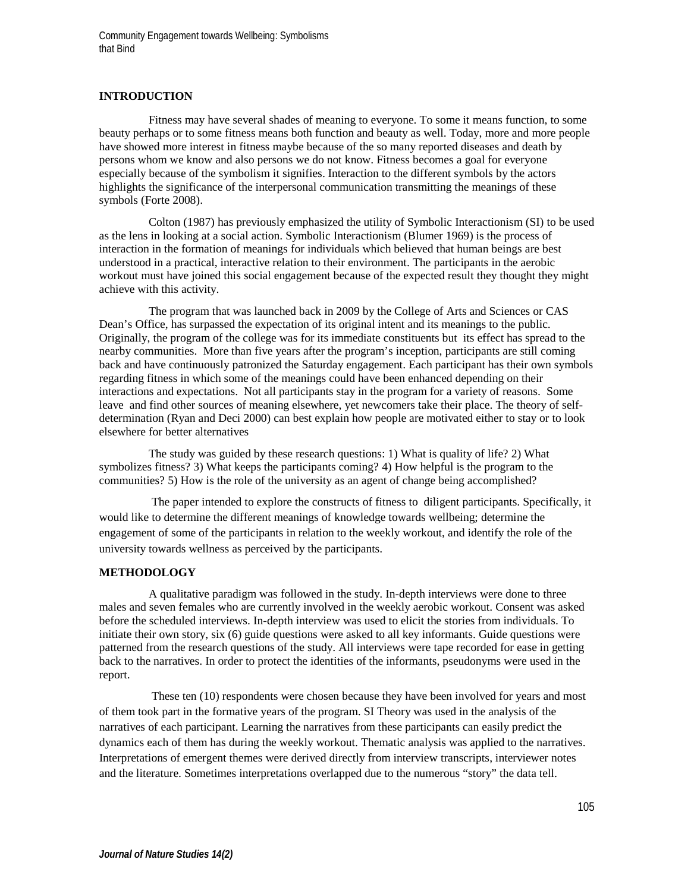Community Engagement towards Wellbeing: Symbolisms that Bind

# **INTRODUCTION**

Fitness may have several shades of meaning to everyone. To some it means function, to some beauty perhaps or to some fitness means both function and beauty as well. Today, more and more people have showed more interest in fitness maybe because of the so many reported diseases and death by persons whom we know and also persons we do not know. Fitness becomes a goal for everyone especially because of the symbolism it signifies. Interaction to the different symbols by the actors highlights the significance of the interpersonal communication transmitting the meanings of these symbols (Forte 2008).

Colton (1987) has previously emphasized the utility of Symbolic Interactionism (SI) to be used as the lens in looking at a social action. Symbolic Interactionism (Blumer 1969) is the process of interaction in the formation of meanings for individuals which believed that human beings are best understood in a practical, interactive relation to their environment. The participants in the aerobic workout must have joined this social engagement because of the expected result they thought they might achieve with this activity.

The program that was launched back in 2009 by the College of Arts and Sciences or CAS Dean's Office, has surpassed the expectation of its original intent and its meanings to the public. Originally, the program of the college was for its immediate constituents but its effect has spread to the nearby communities. More than five years after the program's inception, participants are still coming back and have continuously patronized the Saturday engagement. Each participant has their own symbols regarding fitness in which some of the meanings could have been enhanced depending on their interactions and expectations. Not all participants stay in the program for a variety of reasons. Some leave and find other sources of meaning elsewhere, yet newcomers take their place. The theory of selfdetermination (Ryan and Deci 2000) can best explain how people are motivated either to stay or to look elsewhere for better alternatives

The study was guided by these research questions: 1) What is quality of life? 2) What symbolizes fitness? 3) What keeps the participants coming? 4) How helpful is the program to the communities? 5) How is the role of the university as an agent of change being accomplished?

The paper intended to explore the constructs of fitness to diligent participants. Specifically, it would like to determine the different meanings of knowledge towards wellbeing; determine the engagement of some of the participants in relation to the weekly workout, and identify the role of the university towards wellness as perceived by the participants.

#### **METHODOLOGY**

A qualitative paradigm was followed in the study. In-depth interviews were done to three males and seven females who are currently involved in the weekly aerobic workout. Consent was asked before the scheduled interviews. In-depth interview was used to elicit the stories from individuals. To initiate their own story, six (6) guide questions were asked to all key informants. Guide questions were patterned from the research questions of the study. All interviews were tape recorded for ease in getting back to the narratives. In order to protect the identities of the informants, pseudonyms were used in the report.

These ten (10) respondents were chosen because they have been involved for years and most of them took part in the formative years of the program. SI Theory was used in the analysis of the narratives of each participant. Learning the narratives from these participants can easily predict the dynamics each of them has during the weekly workout. Thematic analysis was applied to the narratives. Interpretations of emergent themes were derived directly from interview transcripts, interviewer notes and the literature. Sometimes interpretations overlapped due to the numerous "story" the data tell.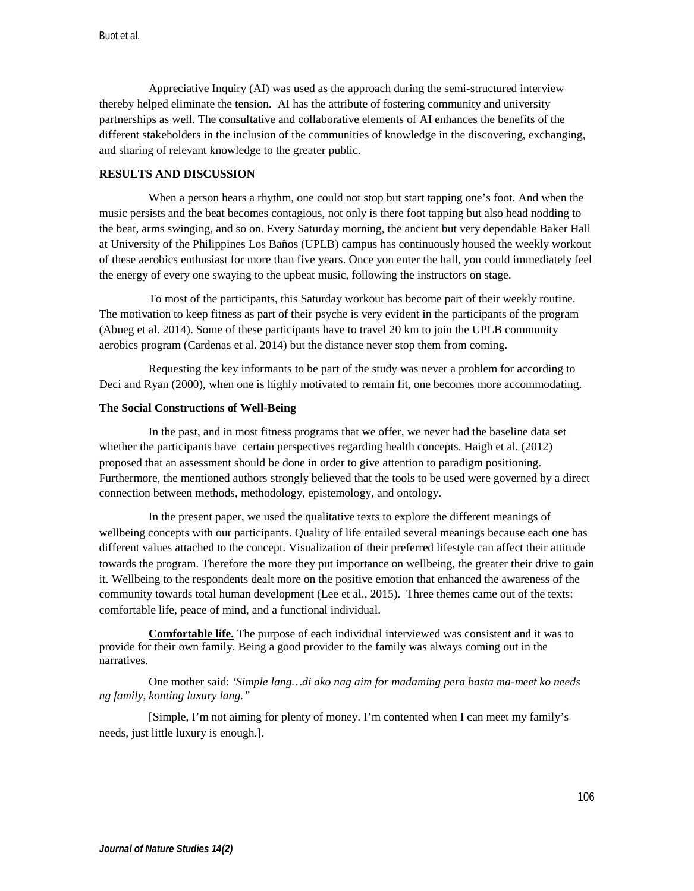Appreciative Inquiry (AI) was used as the approach during the semi-structured interview thereby helped eliminate the tension. AI has the attribute of fostering community and university partnerships as well. The consultative and collaborative elements of AI enhances the benefits of the different stakeholders in the inclusion of the communities of knowledge in the discovering, exchanging, and sharing of relevant knowledge to the greater public.

## **RESULTS AND DISCUSSION**

When a person hears a rhythm, one could not stop but start tapping one's foot. And when the music persists and the beat becomes contagious, not only is there foot tapping but also head nodding to the beat, arms swinging, and so on. Every Saturday morning, the ancient but very dependable Baker Hall at University of the Philippines Los Baños (UPLB) campus has continuously housed the weekly workout of these aerobics enthusiast for more than five years. Once you enter the hall, you could immediately feel the energy of every one swaying to the upbeat music, following the instructors on stage.

To most of the participants, this Saturday workout has become part of their weekly routine. The motivation to keep fitness as part of their psyche is very evident in the participants of the program (Abueg et al. 2014). Some of these participants have to travel 20 km to join the UPLB community aerobics program (Cardenas et al. 2014) but the distance never stop them from coming.

Requesting the key informants to be part of the study was never a problem for according to Deci and Ryan (2000), when one is highly motivated to remain fit, one becomes more accommodating.

## **The Social Constructions of Well-Being**

In the past, and in most fitness programs that we offer, we never had the baseline data set whether the participants have certain perspectives regarding health concepts. Haigh et al. (2012) proposed that an assessment should be done in order to give attention to paradigm positioning. Furthermore, the mentioned authors strongly believed that the tools to be used were governed by a direct connection between methods, methodology, epistemology, and ontology.

In the present paper, we used the qualitative texts to explore the different meanings of wellbeing concepts with our participants. Quality of life entailed several meanings because each one has different values attached to the concept. Visualization of their preferred lifestyle can affect their attitude towards the program. Therefore the more they put importance on wellbeing, the greater their drive to gain it. Wellbeing to the respondents dealt more on the positive emotion that enhanced the awareness of the community towards total human development (Lee et al., 2015). Three themes came out of the texts: comfortable life, peace of mind, and a functional individual.

**Comfortable life.** The purpose of each individual interviewed was consistent and it was to provide for their own family. Being a good provider to the family was always coming out in the narratives.

One mother said: *'Simple lang…di ako nag aim for madaming pera basta ma-meet ko needs ng family, konting luxury lang."*

[Simple, I'm not aiming for plenty of money. I'm contented when I can meet my family's needs, just little luxury is enough.].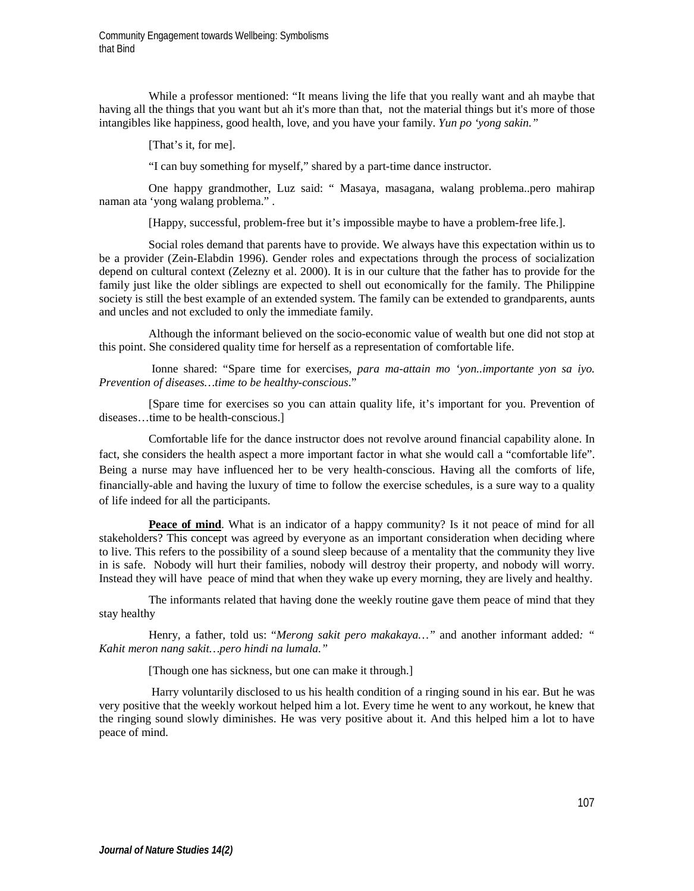Community Engagement towards Wellbeing: Symbolisms that Bind

While a professor mentioned: "It means living the life that you really want and ah maybe that having all the things that you want but ah it's more than that, not the material things but it's more of those intangibles like happiness, good health, love, and you have your family. *Yun po 'yong sakin."*

[That's it, for me].

"I can buy something for myself," shared by a part-time dance instructor.

One happy grandmother, Luz said: " Masaya, masagana, walang problema..pero mahirap naman ata 'yong walang problema." .

[Happy, successful, problem-free but it's impossible maybe to have a problem-free life.].

Social roles demand that parents have to provide. We always have this expectation within us to be a provider (Zein-Elabdin 1996). Gender roles and expectations through the process of socialization depend on cultural context (Zelezny et al. 2000). It is in our culture that the father has to provide for the family just like the older siblings are expected to shell out economically for the family. The Philippine society is still the best example of an extended system. The family can be extended to grandparents, aunts and uncles and not excluded to only the immediate family.

Although the informant believed on the socio-economic value of wealth but one did not stop at this point. She considered quality time for herself as a representation of comfortable life.

Ionne shared: "Spare time for exercises, *para ma-attain mo 'yon..importante yon sa iyo. Prevention of diseases…time to be healthy-conscious*."

[Spare time for exercises so you can attain quality life, it's important for you. Prevention of diseases…time to be health-conscious.]

Comfortable life for the dance instructor does not revolve around financial capability alone. In fact, she considers the health aspect a more important factor in what she would call a "comfortable life". Being a nurse may have influenced her to be very health-conscious. Having all the comforts of life, financially-able and having the luxury of time to follow the exercise schedules, is a sure way to a quality of life indeed for all the participants.

**Peace of mind**. What is an indicator of a happy community? Is it not peace of mind for all stakeholders? This concept was agreed by everyone as an important consideration when deciding where to live. This refers to the possibility of a sound sleep because of a mentality that the community they live in is safe. Nobody will hurt their families, nobody will destroy their property, and nobody will worry. Instead they will have peace of mind that when they wake up every morning, they are lively and healthy.

The informants related that having done the weekly routine gave them peace of mind that they stay healthy

Henry, a father, told us: "*Merong sakit pero makakaya…"* and another informant added*: " Kahit meron nang sakit…pero hindi na lumala."*

[Though one has sickness, but one can make it through.]

Harry voluntarily disclosed to us his health condition of a ringing sound in his ear. But he was very positive that the weekly workout helped him a lot. Every time he went to any workout, he knew that the ringing sound slowly diminishes. He was very positive about it. And this helped him a lot to have peace of mind.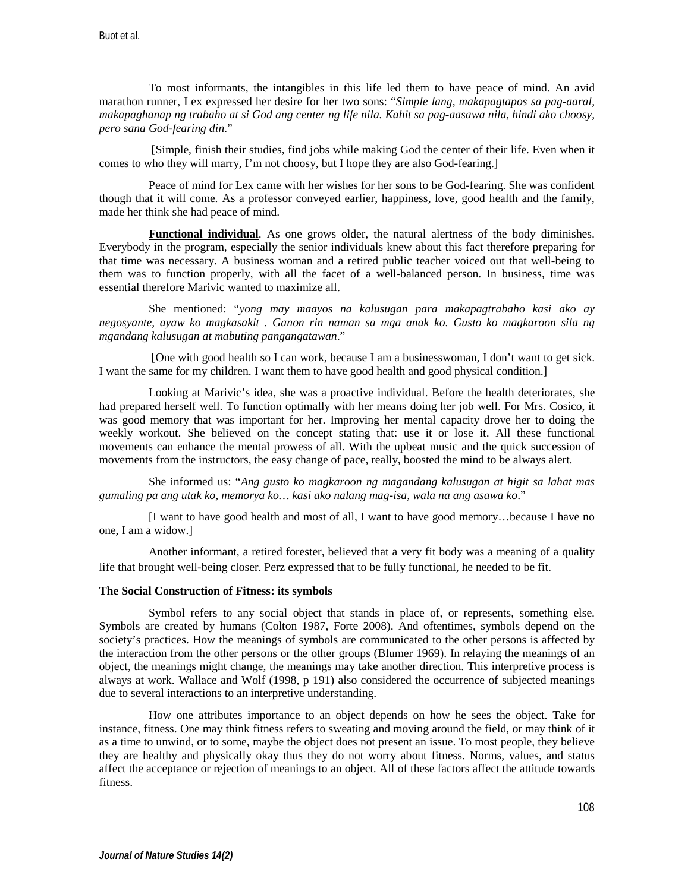To most informants, the intangibles in this life led them to have peace of mind. An avid marathon runner, Lex expressed her desire for her two sons: "*Simple lang, makapagtapos sa pag-aaral, makapaghanap ng trabaho at si God ang center ng life nila. Kahit sa pag-aasawa nila, hindi ako choosy, pero sana God-fearing din*."

[Simple, finish their studies, find jobs while making God the center of their life. Even when it comes to who they will marry, I'm not choosy, but I hope they are also God-fearing.]

Peace of mind for Lex came with her wishes for her sons to be God-fearing. She was confident though that it will come. As a professor conveyed earlier, happiness, love, good health and the family, made her think she had peace of mind.

**Functional individual**. As one grows older, the natural alertness of the body diminishes. Everybody in the program, especially the senior individuals knew about this fact therefore preparing for that time was necessary. A business woman and a retired public teacher voiced out that well-being to them was to function properly, with all the facet of a well-balanced person. In business, time was essential therefore Marivic wanted to maximize all.

She mentioned: "*yong may maayos na kalusugan para makapagtrabaho kasi ako ay negosyante, ayaw ko magkasakit . Ganon rin naman sa mga anak ko. Gusto ko magkaroon sila ng mgandang kalusugan at mabuting pangangatawan*."

[One with good health so I can work, because I am a businesswoman, I don't want to get sick. I want the same for my children. I want them to have good health and good physical condition.]

Looking at Marivic's idea, she was a proactive individual. Before the health deteriorates, she had prepared herself well. To function optimally with her means doing her job well. For Mrs. Cosico, it was good memory that was important for her. Improving her mental capacity drove her to doing the weekly workout. She believed on the concept stating that: use it or lose it. All these functional movements can enhance the mental prowess of all. With the upbeat music and the quick succession of movements from the instructors, the easy change of pace, really, boosted the mind to be always alert.

She informed us: "*Ang gusto ko magkaroon ng magandang kalusugan at higit sa lahat mas gumaling pa ang utak ko, memorya ko… kasi ako nalang mag-isa, wala na ang asawa ko*."

[I want to have good health and most of all, I want to have good memory…because I have no one, I am a widow.]

Another informant, a retired forester, believed that a very fit body was a meaning of a quality life that brought well-being closer. Perz expressed that to be fully functional, he needed to be fit.

## **The Social Construction of Fitness: its symbols**

Symbol refers to any social object that stands in place of, or represents, something else. Symbols are created by humans (Colton 1987, Forte 2008). And oftentimes, symbols depend on the society's practices. How the meanings of symbols are communicated to the other persons is affected by the interaction from the other persons or the other groups (Blumer 1969). In relaying the meanings of an object, the meanings might change, the meanings may take another direction. This interpretive process is always at work. Wallace and Wolf (1998, p 191) also considered the occurrence of subjected meanings due to several interactions to an interpretive understanding.

How one attributes importance to an object depends on how he sees the object. Take for instance, fitness. One may think fitness refers to sweating and moving around the field, or may think of it as a time to unwind, or to some, maybe the object does not present an issue. To most people, they believe they are healthy and physically okay thus they do not worry about fitness. Norms, values, and status affect the acceptance or rejection of meanings to an object. All of these factors affect the attitude towards fitness.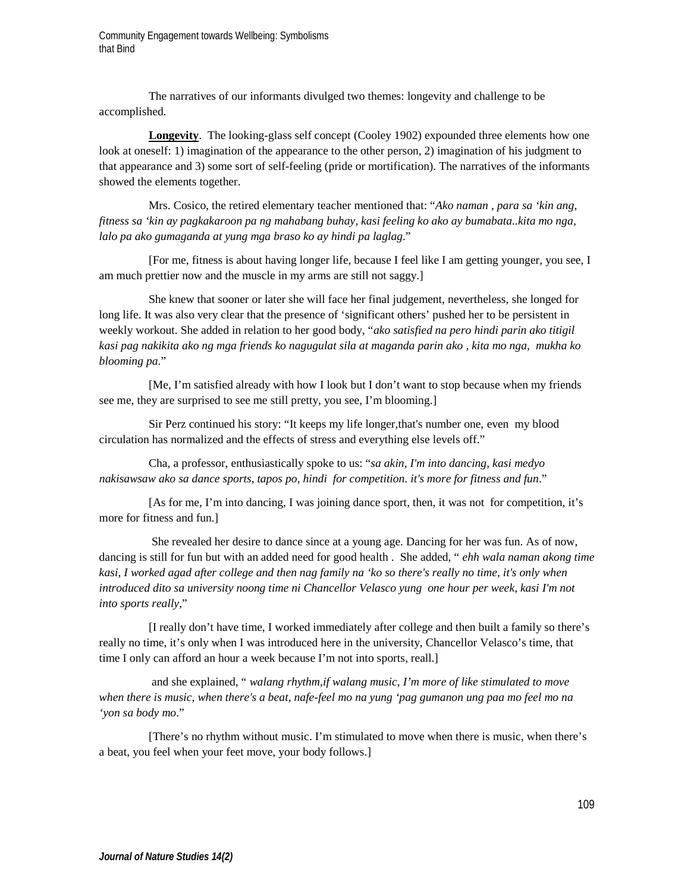The narratives of our informants divulged two themes: longevity and challenge to be accomplished.

**Longevity**. The looking-glass self concept (Cooley 1902) expounded three elements how one look at oneself: 1) imagination of the appearance to the other person, 2) imagination of his judgment to that appearance and 3) some sort of self-feeling (pride or mortification). The narratives of the informants showed the elements together.

Mrs. Cosico, the retired elementary teacher mentioned that: "*Ako naman , para sa 'kin ang, fitness sa 'kin ay pagkakaroon pa ng mahabang buhay, kasi feeling ko ako ay bumabata..kita mo nga, lalo pa ako gumaganda at yung mga braso ko ay hindi pa laglag*."

[For me, fitness is about having longer life, because I feel like I am getting younger, you see, I am much prettier now and the muscle in my arms are still not saggy.]

She knew that sooner or later she will face her final judgement, nevertheless, she longed for long life. It was also very clear that the presence of 'significant others' pushed her to be persistent in weekly workout. She added in relation to her good body, "*ako satisfied na pero hindi parin ako titigil kasi pag nakikita ako ng mga friends ko nagugulat sila at maganda parin ako , kita mo nga, mukha ko blooming pa.*"

[Me, I'm satisfied already with how I look but I don't want to stop because when my friends see me, they are surprised to see me still pretty, you see, I'm blooming.]

Sir Perz continued his story: "It keeps my life longer,that's number one, even my blood circulation has normalized and the effects of stress and everything else levels off."

Cha, a professor, enthusiastically spoke to us: "*sa akin, I'm into dancing, kasi medyo nakisawsaw ako sa dance sports, tapos po, hindi for competition. it's more for fitness and fun*."

[As for me, I'm into dancing, I was joining dance sport, then, it was not for competition, it's more for fitness and fun.]

She revealed her desire to dance since at a young age. Dancing for her was fun. As of now, dancing is still for fun but with an added need for good health . She added, " *ehh wala naman akong time kasi, I worked agad after college and then nag family na 'ko so there's really no time, it's only when introduced dito sa university noong time ni Chancellor Velasco yung one hour per week, kasi I'm not into sports really*,"

[I really don't have time, I worked immediately after college and then built a family so there's really no time, it's only when I was introduced here in the university, Chancellor Velasco's time, that time I only can afford an hour a week because I'm not into sports, reall.]

and she explained, " *walang rhythm,if walang music, I'm more of like stimulated to move when there is music, when there's a beat, nafe-feel mo na yung 'pag gumanon ung paa mo feel mo na 'yon sa body mo*."

[There's no rhythm without music. I'm stimulated to move when there is music, when there's a beat, you feel when your feet move, your body follows.]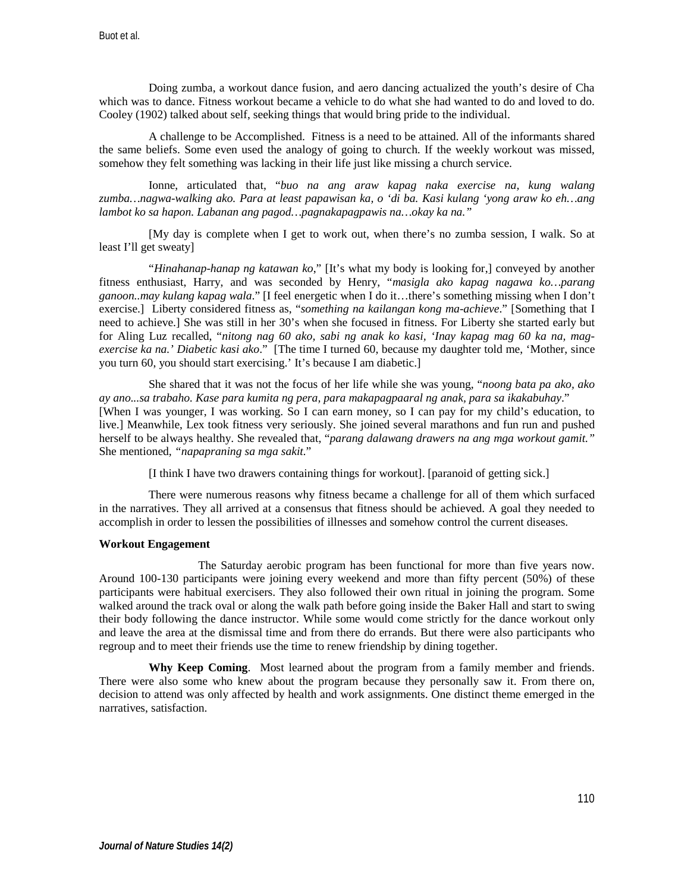Doing zumba, a workout dance fusion, and aero dancing actualized the youth's desire of Cha which was to dance. Fitness workout became a vehicle to do what she had wanted to do and loved to do. Cooley (1902) talked about self, seeking things that would bring pride to the individual.

A challenge to be Accomplished. Fitness is a need to be attained. All of the informants shared the same beliefs. Some even used the analogy of going to church. If the weekly workout was missed, somehow they felt something was lacking in their life just like missing a church service.

Ionne, articulated that, "*buo na ang araw kapag naka exercise na, kung walang zumba…nagwa-walking ako. Para at least papawisan ka, o 'di ba. Kasi kulang 'yong araw ko eh…ang lambot ko sa hapon. Labanan ang pagod…pagnakapagpawis na…okay ka na."*

[My day is complete when I get to work out, when there's no zumba session, I walk. So at least I'll get sweaty]

"*Hinahanap-hanap ng katawan ko*," [It's what my body is looking for,] conveyed by another fitness enthusiast, Harry, and was seconded by Henry, "*masigla ako kapag nagawa ko…parang ganoon..may kulang kapag wala*." [I feel energetic when I do it…there's something missing when I don't exercise.] Liberty considered fitness as, "*something na kailangan kong ma-achieve*." [Something that I need to achieve.] She was still in her 30's when she focused in fitness. For Liberty she started early but for Aling Luz recalled, "*nitong nag 60 ako, sabi ng anak ko kasi, 'Inay kapag mag 60 ka na, magexercise ka na.' Diabetic kasi ako*." [The time I turned 60, because my daughter told me, 'Mother, since you turn 60, you should start exercising.' It's because I am diabetic.]

She shared that it was not the focus of her life while she was young, "*noong bata pa ako, ako ay ano...sa trabaho. Kase para kumita ng pera, para makapagpaaral ng anak, para sa ikakabuhay*." [When I was younger, I was working. So I can earn money, so I can pay for my child's education, to live.] Meanwhile, Lex took fitness very seriously. She joined several marathons and fun run and pushed herself to be always healthy. She revealed that, "*parang dalawang drawers na ang mga workout gamit."*  She mentioned*, "napapraning sa mga sakit.*"

[I think I have two drawers containing things for workout]. [paranoid of getting sick.]

There were numerous reasons why fitness became a challenge for all of them which surfaced in the narratives. They all arrived at a consensus that fitness should be achieved. A goal they needed to accomplish in order to lessen the possibilities of illnesses and somehow control the current diseases.

#### **Workout Engagement**

The Saturday aerobic program has been functional for more than five years now. Around 100-130 participants were joining every weekend and more than fifty percent (50%) of these participants were habitual exercisers. They also followed their own ritual in joining the program. Some walked around the track oval or along the walk path before going inside the Baker Hall and start to swing their body following the dance instructor. While some would come strictly for the dance workout only and leave the area at the dismissal time and from there do errands. But there were also participants who regroup and to meet their friends use the time to renew friendship by dining together.

**Why Keep Coming**. Most learned about the program from a family member and friends. There were also some who knew about the program because they personally saw it. From there on, decision to attend was only affected by health and work assignments. One distinct theme emerged in the narratives, satisfaction.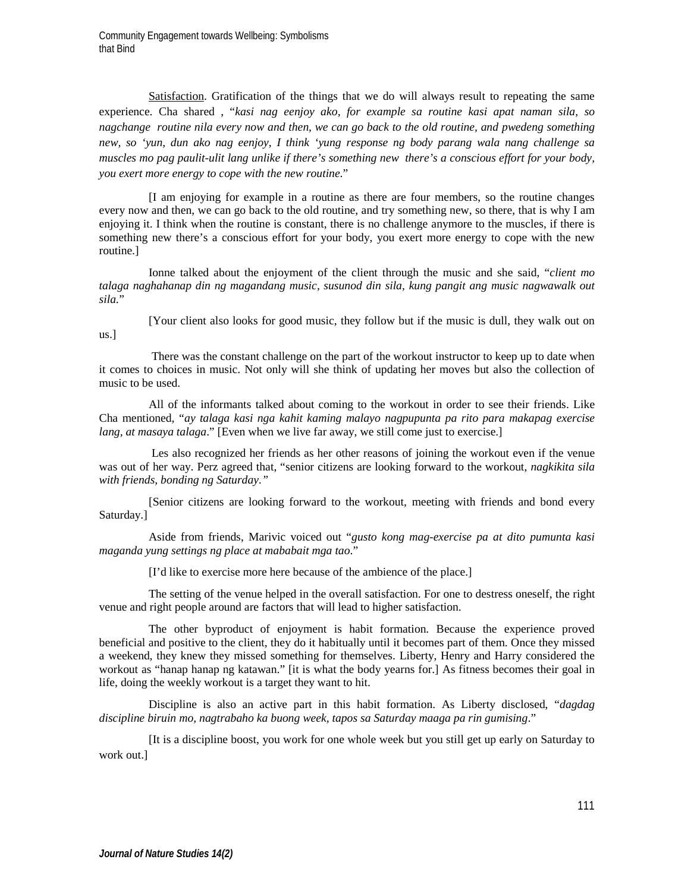Satisfaction. Gratification of the things that we do will always result to repeating the same experience. Cha shared , "*kasi nag eenjoy ako, for example sa routine kasi apat naman sila, so*  nagchange routine nila every now and then, we can go back to the old routine, and pwedeng something *new, so 'yun, dun ako nag eenjoy, I think 'yung response ng body parang wala nang challenge sa muscles mo pag paulit-ulit lang unlike if there's something new there's a conscious effort for your body, you exert more energy to cope with the new routine*."

[I am enjoying for example in a routine as there are four members, so the routine changes every now and then, we can go back to the old routine, and try something new, so there, that is why I am enjoying it. I think when the routine is constant, there is no challenge anymore to the muscles, if there is something new there's a conscious effort for your body, you exert more energy to cope with the new routine.]

Ionne talked about the enjoyment of the client through the music and she said, "*client mo talaga naghahanap din ng magandang music, susunod din sila, kung pangit ang music nagwawalk out sila.*"

us.]

[Your client also looks for good music, they follow but if the music is dull, they walk out on

There was the constant challenge on the part of the workout instructor to keep up to date when it comes to choices in music. Not only will she think of updating her moves but also the collection of music to be used.

All of the informants talked about coming to the workout in order to see their friends. Like Cha mentioned, "*ay talaga kasi nga kahit kaming malayo nagpupunta pa rito para makapag exercise lang, at masaya talaga*." [Even when we live far away, we still come just to exercise.]

Les also recognized her friends as her other reasons of joining the workout even if the venue was out of her way. Perz agreed that, "senior citizens are looking forward to the workout, *nagkikita sila with friends, bonding ng Saturday."* 

[Senior citizens are looking forward to the workout, meeting with friends and bond every Saturday.]

Aside from friends, Marivic voiced out "*gusto kong mag-exercise pa at dito pumunta kasi maganda yung settings ng place at mababait mga tao*."

[I'd like to exercise more here because of the ambience of the place.]

The setting of the venue helped in the overall satisfaction. For one to destress oneself, the right venue and right people around are factors that will lead to higher satisfaction.

The other byproduct of enjoyment is habit formation. Because the experience proved beneficial and positive to the client, they do it habitually until it becomes part of them. Once they missed a weekend, they knew they missed something for themselves. Liberty, Henry and Harry considered the workout as "hanap hanap ng katawan." [it is what the body yearns for.] As fitness becomes their goal in life, doing the weekly workout is a target they want to hit.

Discipline is also an active part in this habit formation. As Liberty disclosed, "*dagdag discipline biruin mo, nagtrabaho ka buong week, tapos sa Saturday maaga pa rin gumising*."

[It is a discipline boost, you work for one whole week but you still get up early on Saturday to work out.]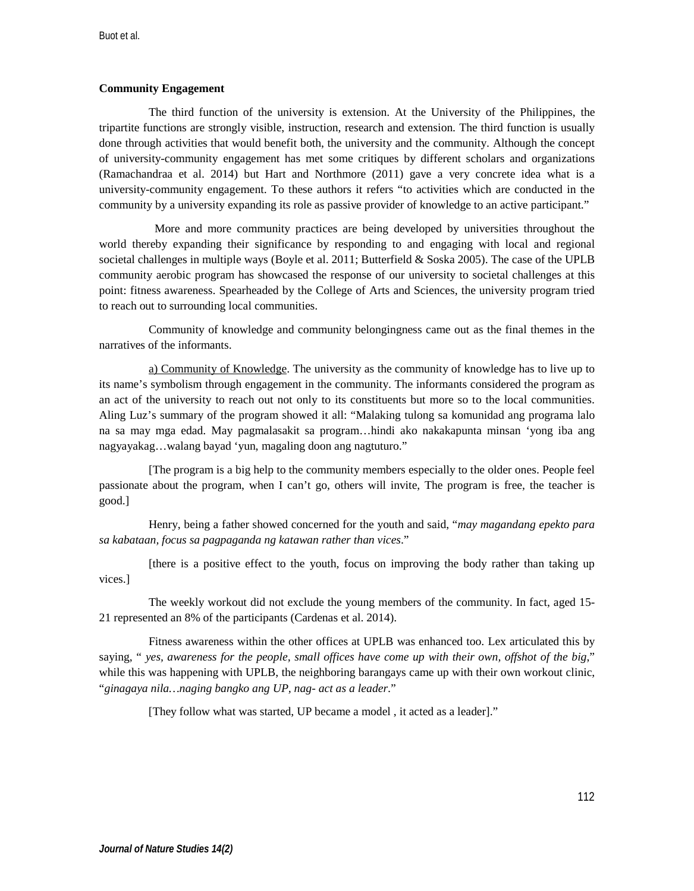## **Community Engagement**

The third function of the university is extension. At the University of the Philippines, the tripartite functions are strongly visible, instruction, research and extension. The third function is usually done through activities that would benefit both, the university and the community. Although the concept of university-community engagement has met some critiques by different scholars and organizations (Ramachandraa et al. 2014) but Hart and Northmore (2011) gave a very concrete idea what is a university-community engagement. To these authors it refers "to activities which are conducted in the community by a university expanding its role as passive provider of knowledge to an active participant."

 More and more community practices are being developed by universities throughout the world thereby expanding their significance by responding to and engaging with local and regional societal challenges in multiple ways (Boyle et al. 2011; Butterfield & Soska 2005). The case of the UPLB community aerobic program has showcased the response of our university to societal challenges at this point: fitness awareness. Spearheaded by the College of Arts and Sciences, the university program tried to reach out to surrounding local communities.

Community of knowledge and community belongingness came out as the final themes in the narratives of the informants.

a) Community of Knowledge. The university as the community of knowledge has to live up to its name's symbolism through engagement in the community. The informants considered the program as an act of the university to reach out not only to its constituents but more so to the local communities. Aling Luz's summary of the program showed it all: "Malaking tulong sa komunidad ang programa lalo na sa may mga edad. May pagmalasakit sa program…hindi ako nakakapunta minsan 'yong iba ang nagyayakag…walang bayad 'yun, magaling doon ang nagtuturo."

[The program is a big help to the community members especially to the older ones. People feel passionate about the program, when I can't go, others will invite, The program is free, the teacher is good.]

Henry, being a father showed concerned for the youth and said, "*may magandang epekto para sa kabataan, focus sa pagpaganda ng katawan rather than vices*."

[there is a positive effect to the youth, focus on improving the body rather than taking up vices.]

The weekly workout did not exclude the young members of the community. In fact, aged 15- 21 represented an 8% of the participants (Cardenas et al. 2014).

Fitness awareness within the other offices at UPLB was enhanced too. Lex articulated this by saying, " *yes, awareness for the people, small offices have come up with their own, offshot of the big*," while this was happening with UPLB, the neighboring barangays came up with their own workout clinic, "*ginagaya nila…naging bangko ang UP, nag- act as a leader*."

[They follow what was started, UP became a model, it acted as a leader]."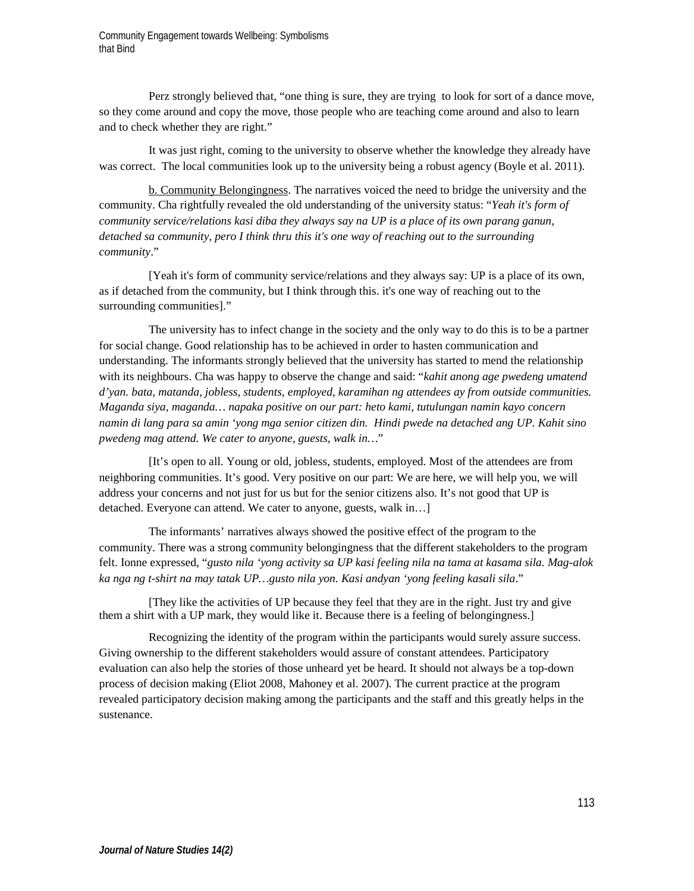Perz strongly believed that, "one thing is sure, they are trying to look for sort of a dance move, so they come around and copy the move, those people who are teaching come around and also to learn and to check whether they are right."

It was just right, coming to the university to observe whether the knowledge they already have was correct. The local communities look up to the university being a robust agency (Boyle et al. 2011).

b. Community Belongingness. The narratives voiced the need to bridge the university and the community. Cha rightfully revealed the old understanding of the university status: "*Yeah it's form of community service/relations kasi diba they always say na UP is a place of its own parang ganun, detached sa community, pero I think thru this it's one way of reaching out to the surrounding community*."

[Yeah it's form of community service/relations and they always say: UP is a place of its own, as if detached from the community, but I think through this. it's one way of reaching out to the surrounding communities]."

The university has to infect change in the society and the only way to do this is to be a partner for social change. Good relationship has to be achieved in order to hasten communication and understanding. The informants strongly believed that the university has started to mend the relationship with its neighbours. Cha was happy to observe the change and said: "*kahit anong age pwedeng umatend d'yan. bata, matanda, jobless, students, employed, karamihan ng attendees ay from outside communities. Maganda siya, maganda… napaka positive on our part: heto kami, tutulungan namin kayo concern namin di lang para sa amin 'yong mga senior citizen din. Hindi pwede na detached ang UP. Kahit sino pwedeng mag attend. We cater to anyone, guests, walk in…*"

[It's open to all. Young or old, jobless, students, employed. Most of the attendees are from neighboring communities. It's good. Very positive on our part: We are here, we will help you, we will address your concerns and not just for us but for the senior citizens also. It's not good that UP is detached. Everyone can attend. We cater to anyone, guests, walk in…]

The informants' narratives always showed the positive effect of the program to the community. There was a strong community belongingness that the different stakeholders to the program felt. Ionne expressed, "*gusto nila 'yong activity sa UP kasi feeling nila na tama at kasama sila. Mag-alok ka nga ng t-shirt na may tatak UP…gusto nila yon. Kasi andyan 'yong feeling kasali sila*."

[They like the activities of UP because they feel that they are in the right. Just try and give them a shirt with a UP mark, they would like it. Because there is a feeling of belongingness.]

Recognizing the identity of the program within the participants would surely assure success. Giving ownership to the different stakeholders would assure of constant attendees. Participatory evaluation can also help the stories of those unheard yet be heard. It should not always be a top-down process of decision making (Eliot 2008, Mahoney et al. 2007). The current practice at the program revealed participatory decision making among the participants and the staff and this greatly helps in the sustenance.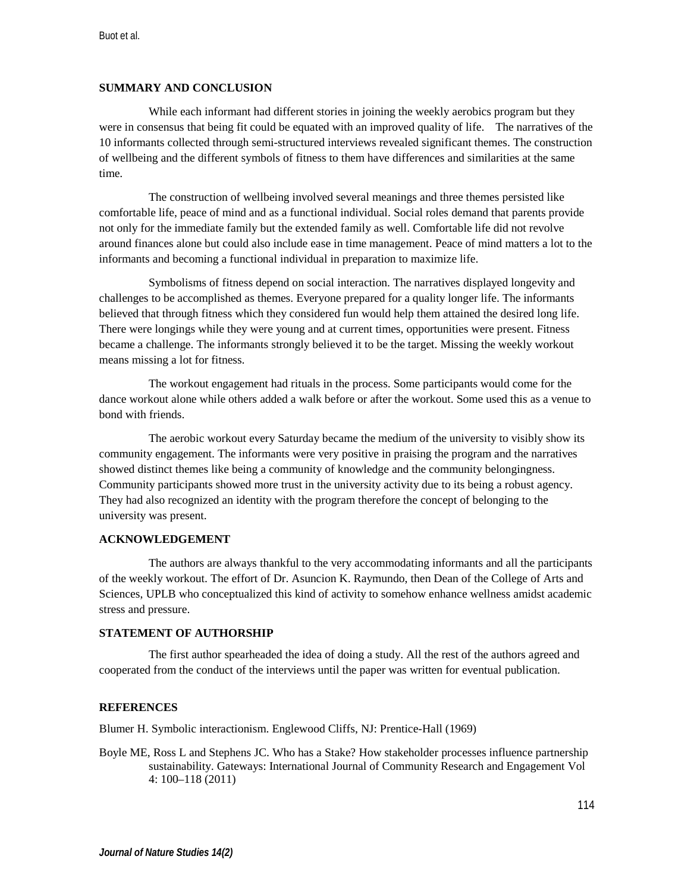# **SUMMARY AND CONCLUSION**

While each informant had different stories in joining the weekly aerobics program but they were in consensus that being fit could be equated with an improved quality of life. The narratives of the 10 informants collected through semi-structured interviews revealed significant themes. The construction of wellbeing and the different symbols of fitness to them have differences and similarities at the same time.

The construction of wellbeing involved several meanings and three themes persisted like comfortable life, peace of mind and as a functional individual. Social roles demand that parents provide not only for the immediate family but the extended family as well. Comfortable life did not revolve around finances alone but could also include ease in time management. Peace of mind matters a lot to the informants and becoming a functional individual in preparation to maximize life.

Symbolisms of fitness depend on social interaction. The narratives displayed longevity and challenges to be accomplished as themes. Everyone prepared for a quality longer life. The informants believed that through fitness which they considered fun would help them attained the desired long life. There were longings while they were young and at current times, opportunities were present. Fitness became a challenge. The informants strongly believed it to be the target. Missing the weekly workout means missing a lot for fitness.

The workout engagement had rituals in the process. Some participants would come for the dance workout alone while others added a walk before or after the workout. Some used this as a venue to bond with friends.

The aerobic workout every Saturday became the medium of the university to visibly show its community engagement. The informants were very positive in praising the program and the narratives showed distinct themes like being a community of knowledge and the community belongingness. Community participants showed more trust in the university activity due to its being a robust agency. They had also recognized an identity with the program therefore the concept of belonging to the university was present.

### **ACKNOWLEDGEMENT**

The authors are always thankful to the very accommodating informants and all the participants of the weekly workout. The effort of Dr. Asuncion K. Raymundo, then Dean of the College of Arts and Sciences, UPLB who conceptualized this kind of activity to somehow enhance wellness amidst academic stress and pressure.

#### **STATEMENT OF AUTHORSHIP**

The first author spearheaded the idea of doing a study. All the rest of the authors agreed and cooperated from the conduct of the interviews until the paper was written for eventual publication.

#### **REFERENCES**

Blumer H. Symbolic interactionism. Englewood Cliffs, NJ: Prentice-Hall (1969)

Boyle ME, Ross L and Stephens JC. Who has a Stake? How stakeholder processes influence partnership sustainability. Gateways: International Journal of Community Research and Engagement Vol 4: 100–118 (2011)